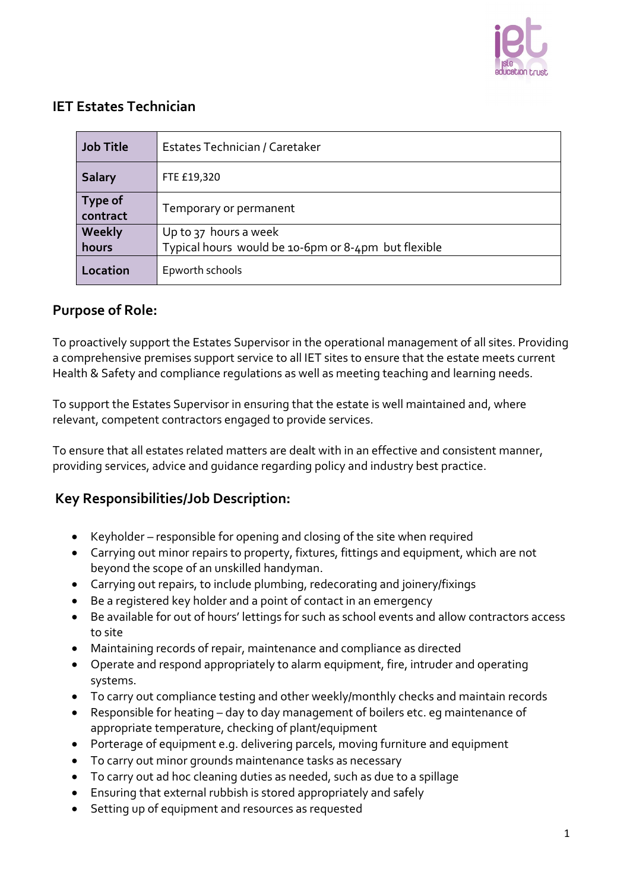

## **IET Estates Technician**

| <b>Job Title</b>           | Estates Technician / Caretaker                      |
|----------------------------|-----------------------------------------------------|
| <b>Salary</b>              | FTE £19,320                                         |
| <b>Type of</b><br>contract | Temporary or permanent                              |
| Weekly                     | Up to 37 hours a week                               |
| hours                      | Typical hours would be 10-6pm or 8-4pm but flexible |
| Location                   | Epworth schools                                     |

## **Purpose of Role:**

To proactively support the Estates Supervisor in the operational management of all sites. Providing a comprehensive premises support service to all IET sites to ensure that the estate meets current Health & Safety and compliance regulations as well as meeting teaching and learning needs.

To support the Estates Supervisor in ensuring that the estate is well maintained and, where relevant, competent contractors engaged to provide services.

To ensure that all estates related matters are dealt with in an effective and consistent manner, providing services, advice and guidance regarding policy and industry best practice.

## **Key Responsibilities/Job Description:**

- Keyholder responsible for opening and closing of the site when required
- Carrying out minor repairs to property, fixtures, fittings and equipment, which are not beyond the scope of an unskilled handyman.
- Carrying out repairs, to include plumbing, redecorating and joinery/fixings
- Be a registered key holder and a point of contact in an emergency
- Be available for out of hours' lettings for such as school events and allow contractors access to site
- Maintaining records of repair, maintenance and compliance as directed
- Operate and respond appropriately to alarm equipment, fire, intruder and operating systems.
- To carry out compliance testing and other weekly/monthly checks and maintain records
- Responsible for heating day to day management of boilers etc. eg maintenance of appropriate temperature, checking of plant/equipment
- Porterage of equipment e.g. delivering parcels, moving furniture and equipment
- To carry out minor grounds maintenance tasks as necessary
- To carry out ad hoc cleaning duties as needed, such as due to a spillage
- Ensuring that external rubbish is stored appropriately and safely
- Setting up of equipment and resources as requested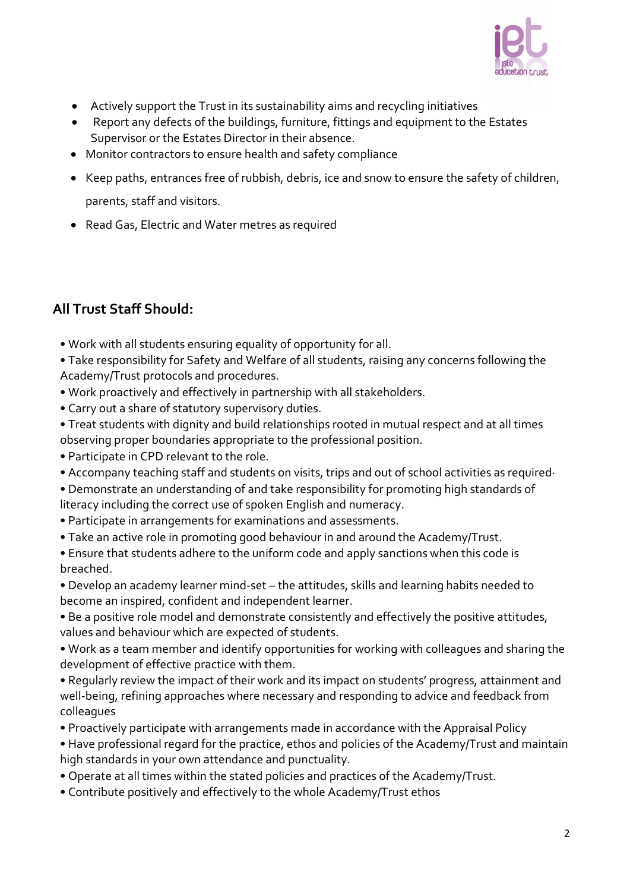

- Actively support the Trust in its sustainability aims and recycling initiatives
- Report any defects of the buildings, furniture, fittings and equipment to the Estates Supervisor or the Estates Director in their absence.
- Monitor contractors to ensure health and safety compliance
- Keep paths, entrances free of rubbish, debris, ice and snow to ensure the safety of children, parents, staff and visitors.
- Read Gas, Electric and Water metres as required

## **All Trust Staff Should:**

• Work with all students ensuring equality of opportunity for all.

• Take responsibility for Safety and Welfare of all students, raising any concerns following the Academy/Trust protocols and procedures.

- Work proactively and effectively in partnership with all stakeholders.
- Carry out a share of statutory supervisory duties.
- Treat students with dignity and build relationships rooted in mutual respect and at all times observing proper boundaries appropriate to the professional position.
- Participate in CPD relevant to the role.
- Accompany teaching staff and students on visits, trips and out of school activities as required·

• Demonstrate an understanding of and take responsibility for promoting high standards of literacy including the correct use of spoken English and numeracy.

- Participate in arrangements for examinations and assessments.
- Take an active role in promoting good behaviour in and around the Academy/Trust.
- Ensure that students adhere to the uniform code and apply sanctions when this code is breached.

• Develop an academy learner mind-set – the attitudes, skills and learning habits needed to become an inspired, confident and independent learner.

- Be a positive role model and demonstrate consistently and effectively the positive attitudes, values and behaviour which are expected of students.
- Work as a team member and identify opportunities for working with colleagues and sharing the development of effective practice with them.
- Regularly review the impact of their work and its impact on students' progress, attainment and well-being, refining approaches where necessary and responding to advice and feedback from colleagues
- Proactively participate with arrangements made in accordance with the Appraisal Policy
- Have professional regard for the practice, ethos and policies of the Academy/Trust and maintain high standards in your own attendance and punctuality.
- Operate at all times within the stated policies and practices of the Academy/Trust.
- Contribute positively and effectively to the whole Academy/Trust ethos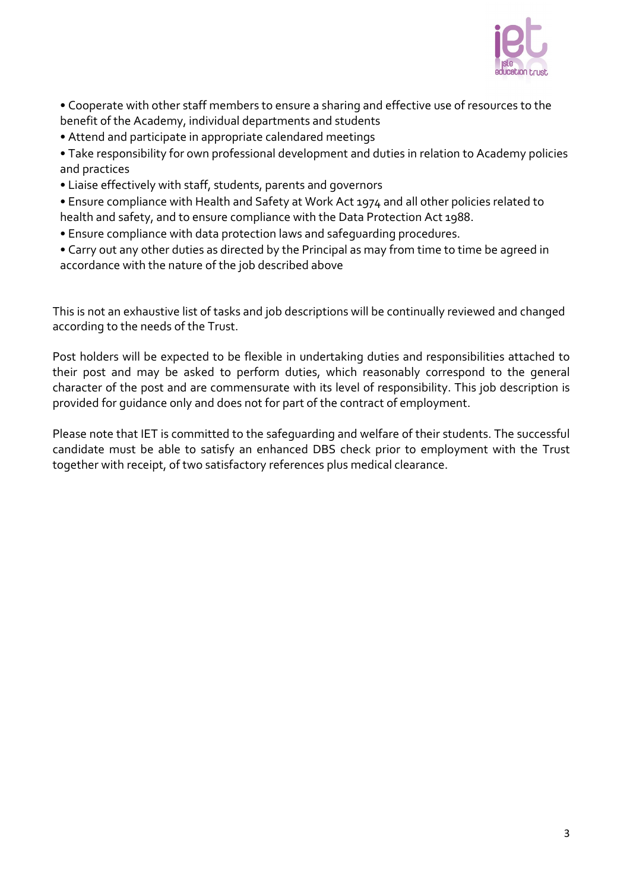

• Cooperate with other staff members to ensure a sharing and effective use of resources to the benefit of the Academy, individual departments and students

• Attend and participate in appropriate calendared meetings

• Take responsibility for own professional development and duties in relation to Academy policies and practices

• Liaise effectively with staff, students, parents and governors

• Ensure compliance with Health and Safety at Work Act 1974 and all other policies related to health and safety, and to ensure compliance with the Data Protection Act 1988.

- Ensure compliance with data protection laws and safeguarding procedures.
- Carry out any other duties as directed by the Principal as may from time to time be agreed in accordance with the nature of the job described above

This is not an exhaustive list of tasks and job descriptions will be continually reviewed and changed according to the needs of the Trust.

Post holders will be expected to be flexible in undertaking duties and responsibilities attached to their post and may be asked to perform duties, which reasonably correspond to the general character of the post and are commensurate with its level of responsibility. This job description is provided for guidance only and does not for part of the contract of employment.

Please note that IET is committed to the safeguarding and welfare of their students. The successful candidate must be able to satisfy an enhanced DBS check prior to employment with the Trust together with receipt, of two satisfactory references plus medical clearance.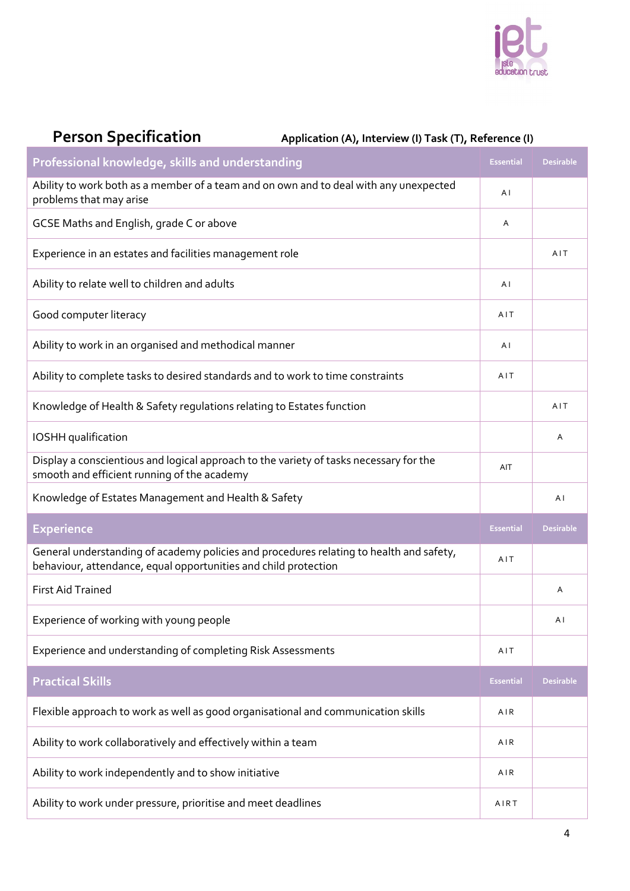

| <b>Person Specification</b> | Application (A), Interview (I) Task (T), Reference (I) |
|-----------------------------|--------------------------------------------------------|
|-----------------------------|--------------------------------------------------------|

| Professional knowledge, skills and understanding                                                                                      |                  | <b>Desirable</b> |
|---------------------------------------------------------------------------------------------------------------------------------------|------------------|------------------|
| Ability to work both as a member of a team and on own and to deal with any unexpected<br>problems that may arise                      |                  |                  |
| GCSE Maths and English, grade C or above                                                                                              | Α                |                  |
| Experience in an estates and facilities management role                                                                               |                  | AIT              |
| Ability to relate well to children and adults                                                                                         | ΑI               |                  |
| Good computer literacy                                                                                                                | AIT              |                  |
| Ability to work in an organised and methodical manner                                                                                 | AI               |                  |
| Ability to complete tasks to desired standards and to work to time constraints                                                        | AIT              |                  |
| Knowledge of Health & Safety regulations relating to Estates function                                                                 |                  | AIT              |
| IOSHH qualification                                                                                                                   |                  | Α                |
| Display a conscientious and logical approach to the variety of tasks necessary for the<br>smooth and efficient running of the academy | AIT              |                  |
| Knowledge of Estates Management and Health & Safety                                                                                   |                  | A I              |
| <b>Experience</b>                                                                                                                     | <b>Essential</b> | <b>Desirable</b> |
| General understanding of academy policies and procedures relating to health and safety,                                               |                  |                  |
| behaviour, attendance, equal opportunities and child protection                                                                       | AIT              |                  |
| <b>First Aid Trained</b>                                                                                                              |                  | Α                |
| Experience of working with young people                                                                                               |                  | ΑI               |
| Experience and understanding of completing Risk Assessments                                                                           | AIT              |                  |
| <b>Practical Skills</b>                                                                                                               | <b>Essential</b> | Desirable        |
| Flexible approach to work as well as good organisational and communication skills                                                     | AIR              |                  |
| Ability to work collaboratively and effectively within a team                                                                         | AIR              |                  |
| Ability to work independently and to show initiative                                                                                  | AIR              |                  |